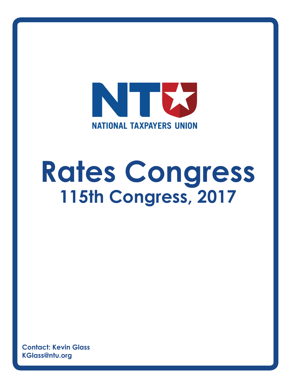

# **Rates Congress 115th Congress, 2017**

**Contact: Kevin Glass KGlass@ntu.org**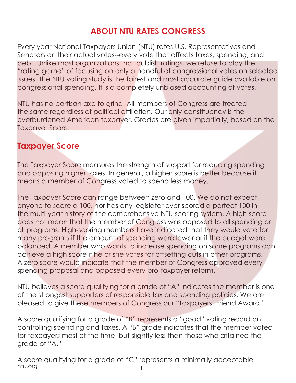### **ABOUT NTU RATES CONGRESS**

Every year National Taxpayers Union (NTU) rates U.S. Representatives and Senators on their actual votes--every vote that affects taxes, spending, and debt. Unlike most organizations that publish ratings, we refuse to play the "rating game" of focusing on only a handful of congressional votes on selected issues. The NTU voting study is the fairest and most accurate guide available on congressional spending. It is a completely unbiased accounting of votes.

NTU has no partisan axe to grind. All members of Congress are treated the same regardless of political affiliation. Our only constituency is the overburdened American taxpayer. Grades are given impartially, based on the Taxpayer Score.

#### **Taxpayer Score**

The Taxpayer Score measures the strength of support for reducing spending and opposing higher taxes. In general, a higher score is better because it means a member of Congress voted to spend less money.

The Taxpayer Score can range between zero and 100. We do not expect anyone to score a 100, nor has any legislator ever scored a perfect 100 in the multi-year history of the comprehensive NTU scoring system. A high score does not mean that the member of Congress was opposed to all spending or all programs. High-scoring members have indicated that they would vote for many programs if the amount of spending were lower or if the budget were balanced. A member who wants to increase spending on some programs can achieve a high score if he or she votes for offsetting cuts in other programs. A zero score would indicate that the member of Congress approved every spending proposal and opposed every pro-taxpayer reform.

NTU believes a score qualifying for a grade of "A" indicates the member is one of the strongest supporters of responsible tax and spending policies. We are pleased to give these members of Congress our "Taxpayers' Friend Award."

A score qualifying for a grade of "B" represents a "good" voting record on controlling spending and taxes. A "B" grade indicates that the member voted for taxpayers most of the time, but slightly less than those who attained the grade of "A."

ntu.org A score qualifying for a grade of "C" represents a minimally acceptable 1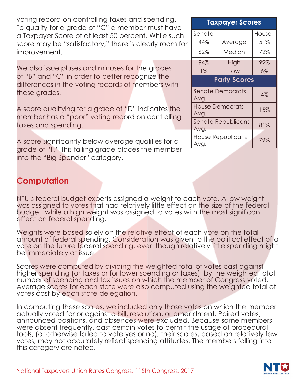voting record on controlling taxes and spending. To qualify for a grade of "C" a member must have a Taxpayer Score of at least 50 percent. While such score may be "satisfactory," there is clearly room for improvement.

We also issue pluses and minuses for the grades of "B" and "C" in order to better recognize the differences in the voting records of members with these grades.

A score qualifying for a grade of "D" indicates the member has a "poor" voting record on controlling taxes and spending.

A score significantly below average qualifies for a grade of "F." This failing grade places the member into the "Big Spender" category.

### **Computation**

NTU's federal budget experts assigned a weight to each vote. A low weight was assigned to votes that had relatively little effect on the size of the federal budget, while a high weight was assigned to votes with the most significant effect on federal spending.

Weights were based solely on the relative effect of each vote on the total amount of federal spending. Consideration was given to the political effect of a vote on the future federal spending, even though relatively little spending might be immediately at issue.

Scores were computed by dividing the weighted total of votes cast against higher spending (or taxes or for lower spending or taxes), by the weighted total number of spending and tax issues on which the member of Congress voted. Average scores for each state were also computed using the weighted total of votes cast by each state delegation.

In computing these scores, we included only those votes on which the member actually voted for or against a bill, resolution, or amendment. Paired votes, announced positions, and absences were excluded. Because some members were absent frequently, cast certain votes to permit the usage of procedural tools, (or otherwise failed to vote yes or no), their scores, based on relatively few votes, may not accurately reflect spending attitudes. The members falling into this category are noted.

|        | <b>Taxpayer Scores</b>   |       |
|--------|--------------------------|-------|
| Senate |                          | House |
| 44%    | Average                  | 51%   |
| 62%    | Median                   | 72%   |
| 94%    | High                     | 92%   |
| $1\%$  | Low                      | $6\%$ |
|        | <b>Party Scores</b>      |       |
| Avg.   | Senate Democrats         | 4%    |
| Avg.   | House Democrats          | 15%   |
| Avg.   | Senate Republicans       | 81%   |
| Avg.   | <b>House Republicans</b> | 79%   |

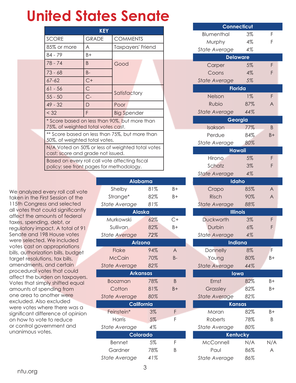# **United States Senate**

|                                                                                            | <b>KEY</b>   |                                                  |
|--------------------------------------------------------------------------------------------|--------------|--------------------------------------------------|
| <b>SCORE</b>                                                                               | <b>GRADE</b> | <b>COMMENTS</b>                                  |
| 85% or more                                                                                | A            | Taxpayers' Friend                                |
| 84 - 79                                                                                    | B+           |                                                  |
| $78 - 74$                                                                                  | B            | Good                                             |
| 73 - 68                                                                                    | $B -$        |                                                  |
| $67 - 62$                                                                                  | $C+$         |                                                  |
| $61 - 56$                                                                                  | $\subset$    |                                                  |
| $55 - 50$                                                                                  | $C-$         | Satisfactory                                     |
| $49 - 32$                                                                                  | D            | Poor                                             |
| < 32                                                                                       | F            | <b>Big Spender</b>                               |
| 75%, of weighted total votes cast.                                                         |              | * Score based on less than 90%, but more than    |
| 50%, of weighted total votes.                                                              |              | ** Score based on less than 75%, but more than   |
| cast; score and grade not issued.                                                          |              | N/A Voted on 50% or less of weighted total votes |
| Based on every roll call vote affecting fiscal<br>policy; see front pages for methodology. |              |                                                  |

We analyzed every roll call vote taken in the First Session of the 115th Congress and selected all votes that could significantly affect the amounts of federal taxes, spending, debt, or regulatory impact. A total of 91 Senate and 198 House votes were selected. We included votes cast on appropriations bills, authorization bills, budget target resolutions, tax bills, amendments, and certain procedural votes that could affect the burden on taxpayers. Votes that simply shifted equal amounts of spending from one area to another were excluded. Also excluded were votes where there was a significant difference of opinion on how to vote to reduce or control government and unanimous votes.

| <b>Alabama</b>       |     |                |
|----------------------|-----|----------------|
| Shelby               | 81% | B+             |
| Strange*             | 82% | B+             |
| State Average        | 81% |                |
| <b>Alaska</b>        |     |                |
| Murkowski            | 62% | $C+$           |
| Sullivan             | 82% | B+             |
| <b>State Average</b> | 72% |                |
| <b>Arizona</b>       |     |                |
| Flake                | 94% | $\overline{A}$ |
| <b>McCain</b>        | 70% | B-             |
| <b>State Average</b> | 82% |                |
|                      |     |                |
| <b>Arkansas</b>      |     |                |
| Boozman              | 78% | B              |
| Cotton               | 81% | B+             |
| <b>State Average</b> | 80% |                |
| <b>California</b>    |     |                |
| Feinstein*           | 3%  | F              |
| <b>Harris</b>        | 5%  | F              |
| State Average        | 4%  |                |
| Colorado             |     |                |
| <b>Bennet</b>        | 5%  | F              |
| Gardner              | 78% | B              |

| <b>Connecticut</b>   |       |     |
|----------------------|-------|-----|
| Blumenthal           | 3%    | F   |
| Murphy               | 4%    | F   |
| State Average        | 4%    |     |
| <b>Delaware</b>      |       |     |
| Carper               | 5%    | F   |
| Coons                | 4%    | F   |
| <b>State Average</b> | 5%    |     |
| <b>Florida</b>       |       |     |
| Nelson               | $1\%$ | F   |
| Rubio                | 87%   | A   |
| <b>State Average</b> | 44%   |     |
| Georgia              |       |     |
| Isakson              | 77%   | B   |
| Perdue               | 84%   | B+  |
| State Average        | 80%   |     |
| <b>Hawaii</b>        |       |     |
| Hirono               | 5%    | F   |
| Schatz               | 3%    | F   |
| <b>State Average</b> | 4%    |     |
| <b>Idaho</b>         |       |     |
| Crapo                | 85%   | A   |
| <b>Risch</b>         | 90%   | A   |
| State Average        | 88%   |     |
| <b>Illinois</b>      |       |     |
| <b>Duckworth</b>     | 3%    | F   |
| Durbin               | 6%    | F   |
| <b>State Average</b> | 4%    |     |
| <b>Indiana</b>       |       |     |
| <b>Donnelly</b>      | 8%    | F   |
| Young                | 80%   | B+  |
| <b>State Average</b> | 44%   |     |
| lowa                 |       |     |
| Ernst                | 82%   | B+  |
| Grassley             | 82%   | B+  |
| <b>State Average</b> | 82%   |     |
| <b>Kansas</b>        |       |     |
| Moran                | 82%   | B+  |
| <b>Roberts</b>       | 78%   | Β   |
| State Average        | 80%   |     |
| <b>Kentucky</b>      |       |     |
| McConnell            | N/A   | N/A |
| Paul                 | 86%   | Α   |
| State Average        | 86%   |     |
|                      |       |     |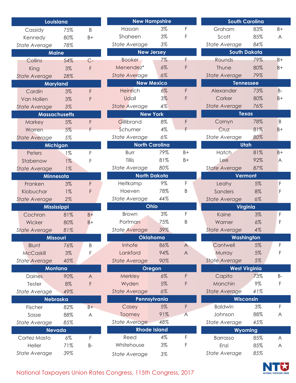| Louisiana            |       |                | <b>New Hampshire</b>  |       |                | <b>South Carolina</b> |       |                         |
|----------------------|-------|----------------|-----------------------|-------|----------------|-----------------------|-------|-------------------------|
| Cassidy              | 75%   | B              | Hassan                | 3%    | F              | Graham                | 83%   | $B+$                    |
| Kennedy              | 80%   | $B+$           | Shaheen               | 3%    | F              | Scott                 | 85%   | $\overline{\mathsf{A}}$ |
| State Average        | 78%   |                | State Average         | 3%    |                | State Average         | 84%   |                         |
| <b>Maine</b>         |       |                | <b>New Jersey</b>     |       |                | <b>South Dakota</b>   |       |                         |
| Collins              | 54%   | $C-$           | <b>Booker</b>         | 7%    | F              | Rounds                | 79%   | $B+$                    |
| King                 | 3%    | F              | Menendez*             | 6%    | F              | Thune                 | 80%   | $B+$                    |
| State Average        | 28%   |                | State Average         | 6%    |                | <b>State Average</b>  | 79%   |                         |
| <b>Maryland</b>      |       |                | <b>New Mexico</b>     |       |                | <b>Tennessee</b>      |       |                         |
| Cardin               | 3%    | F              | Heinrich              | 6%    | F              | Alexander             | 73%   | $B -$                   |
| Van Hollen           | 3%    | F              | Udall                 | 3%    | F              | Corker                | 80%   | $B+$                    |
| State Average        | 3%    |                | <b>State Average</b>  | 4%    |                | <b>State Average</b>  | 76%   |                         |
| <b>Massachusetts</b> |       |                | <b>New York</b>       |       |                | <b>Texas</b>          |       |                         |
| Markey               | 5%    | F              | Gillibrand            | 8%    | F              | Cornyn                | 78%   | B                       |
| Warren               | 5%    | F              | Schumer               | 4%    | F              | Cruz                  | 81%   | $B+$                    |
| State Average        | 5%    |                | State Average         | 6%    |                | State Average         | 80%   |                         |
| <b>Michigan</b>      |       |                | <b>North Carolina</b> |       |                | Utah                  |       |                         |
| Peters               | $1\%$ | F              | Burr                  | 79%   | $B+$           | <b>Hatch</b>          | 81%   | $B+$                    |
| Stabenow             | $1\%$ | F              | Tillis                | 81%   | $B+$           | Lee                   | 92%   | $\overline{A}$          |
| State Average        | $1\%$ |                | State Average         | 80%   |                | <b>State Average</b>  | 87%   |                         |
| <b>Minnesota</b>     |       |                | <b>North Dakota</b>   |       |                | Vermont               |       |                         |
| Franken              | 3%    | F              | Heitkamp              | 9%    | $\mathsf F$    | Leahy                 | 5%    | F                       |
| Klobuchar            | $1\%$ | F              | Hoeven                | 78%   | B              | Sanders               | 8%    | F                       |
| State Average        | 2%    |                | State Average         | 44%   |                | State Average         | 6%    |                         |
| Mississippi          |       |                | Ohio                  |       |                | Virginia              |       |                         |
| Cochran              | 81%   | $B+$           | <b>Brown</b>          | 3%    | F              | Kaine                 | 3%    | $\mathsf F$             |
| Wicker               | 80%   | $B+$           | Portman               | 75%   | B              | Warner                | $6\%$ | $\mathsf F$             |
| State Average        | 81%   |                | State Average         | 39%   |                | <b>State Average</b>  | 4%    |                         |
| <b>Missouri</b>      |       |                | <b>Oklahoma</b>       |       |                | Washington            |       |                         |
| Blunt                | 76%   | Β              | Inhofe                | 86%   | $\overline{A}$ | Cantwell              | 5%    | $\mathsf F$             |
| <b>McCaskill</b>     | 3%    | F              | Lankford              | 94%   | $\bigwedge$    | Murray                | 5%    | F                       |
| State Average        | 40%   |                | <b>State Average</b>  | 90%   |                | State Average         | 5%    |                         |
| <b>Montana</b>       |       |                | Oregon                |       |                | <b>West Virginia</b>  |       |                         |
| <b>Daines</b>        | 90%   | $\overline{A}$ | Merkley               | 6%    | F              | Capito                | 73%   | $B -$                   |
| Tester               | 8%    | F              | Wyden                 | 5%    | F              | Manchin               | 9%    | $\mathsf F$             |
| State Average        | 49%   |                | <b>State Average</b>  | 6%    |                | <b>State Average</b>  | 41%   |                         |
| <b>Nebraska</b>      |       |                | Pennsylvania          |       |                | <b>Wisconsin</b>      |       |                         |
| Fischer              | 82%   | $B+$           | Casey                 | 5%    | F              | <b>Baldwin</b>        | 3%    | F                       |
| Sasse                | 88%   | A              | Toomey                | 91%   | $\overline{A}$ | Johnson               | 88%   | A                       |
| State Average        | 85%   |                | State Average         | 48%   |                | State Average         | 45%   |                         |
| <b>Nevada</b>        |       |                | <b>Rhode Island</b>   |       |                | Wyoming               |       |                         |
| Cortez Masto         | $6\%$ | F              | Reed                  | 4%    | F              | <b>Barrasso</b>       | 85%   | A                       |
| Heller               | 71%   | $B -$          | Whitehouse            | 3%    | $\mathsf{F}$   | Enzi                  | 85%   | $\overline{\mathsf{A}}$ |
| State Average        | 39%   |                | State Average         | $3\%$ |                | State Average         | 85%   |                         |

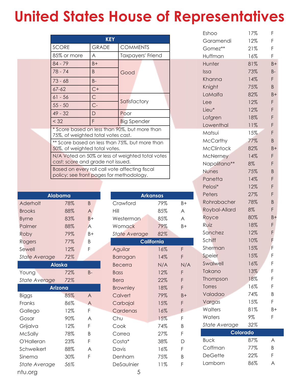### **United States House of Representatives**

|                                                                                            | <b>KEY</b>     |                                                  |
|--------------------------------------------------------------------------------------------|----------------|--------------------------------------------------|
| <b>SCORE</b>                                                                               | <b>GRADE</b>   | <b>COMMENTS</b>                                  |
| 85% or more                                                                                | Α              | <b>Taxpayers' Friend</b>                         |
| $84 - 79$                                                                                  | B+             |                                                  |
| $78 - 74$                                                                                  | <sub>B</sub>   | Good                                             |
| 73 - 68                                                                                    | B-             |                                                  |
| $67 - 62$                                                                                  | $C+$           |                                                  |
| $61 - 56$                                                                                  | $\overline{C}$ | Satisfactory                                     |
| $55 - 50$                                                                                  | $C -$          |                                                  |
| $49 - 32$                                                                                  | D              | Poor                                             |
| < 32                                                                                       | F              | <b>Big Spender</b>                               |
| 75%, of weighted total votes cast.                                                         |                | * Score based on less than 90%, but more than    |
| 50%, of weighted total votes.                                                              |                | ** Score based on less than 75%, but more than   |
| cast; score and grade not issued.                                                          |                | N/A Voted on 50% or less of weighted total votes |
| Based on every roll call vote affecting fiscal<br>policy; see front pages for methodology. |                |                                                  |

| <b>Alabama</b> |     |                |                    |
|----------------|-----|----------------|--------------------|
| Aderholt       | 78% | B              | Crawford           |
| <b>Brooks</b>  | 88% | A              | Hill               |
| <b>Byrne</b>   | 83% | $B+$           | Westerman          |
| Palmer         | 88% | A              | Womack             |
| Roby           | 79% | $B+$           | <b>State Avera</b> |
| Rogers         | 77% | B              |                    |
| Sewell         | 12% | F              | Aguilar            |
| State Average  | 72% |                | <b>Barragan</b>    |
| <b>Alaska</b>  |     |                | <b>Becerra</b>     |
| Young          | 72% | $B -$          | <b>Bass</b>        |
| State Average  | 72% |                | <b>Bera</b>        |
| <b>Arizona</b> |     |                | <b>Brownley</b>    |
| <b>Biggs</b>   | 85% | $\overline{A}$ | Calvert            |
| Franks         | 86% | A              | Carbajal           |
| Gallego        | 12% | F              | Cardenas           |
| Gosar          | 90% | A              | Chu                |
| Grijalva       | 12% | F              | Cook               |
|                |     |                |                    |
| <b>McSally</b> | 78% | B              | Correa             |
| O'Halleran     | 23% | F              | Costa*             |
| Schweikert     | 88% | A              | Davis              |
| Sinema         | 30% | F              | Denham             |
| State Average  | 56% |                | DeSaulnier         |

|                      | <b>Arkansas</b>   |     |
|----------------------|-------------------|-----|
| Crawford             | 79%               | B+  |
| Hill                 | 85%               | A   |
| Westerman            | 85%               | A   |
| Womack               | 79%               | B+  |
| <b>State Average</b> | 82%               |     |
|                      | <b>California</b> |     |
| Aguilar              | 16%               | F   |
| Barragan             | 14%               | F   |
| <b>Becerra</b>       | N/A               | N/A |
| <b>Bass</b>          | 12%               | F   |
| Bera                 | 22%               | F   |
| <b>Brownley</b>      | 18%               | F   |
| Calvert              | 79%               | B+  |
| Carbajal             | 15%               | F   |
| Cardenas             | 16%               | F   |
| Chu                  | 15%               | F   |
| Cook                 | 74%               | B   |
| Correa               | 27%               | F   |
| Costa*               | 38%               | D   |
| Davis                | 16%               | F   |
| Denham               | 75%               | B   |
| DeSaulnier           | 11%               | F   |
|                      |                   |     |

| Eshoo             | 17% | F  |
|-------------------|-----|----|
| Garamendi         | 12% | F  |
| Gomez**           | 21% | F  |
| Huffman           | 16% | F  |
| Hunter            | 81% | B+ |
| Issa              | 73% | B- |
| Khanna            | 14% | F  |
| Knight            | 75% | B  |
| LaMalfa           | 82% | B+ |
| Lee               | 12% | F  |
| Lieu*             | 12% | F  |
| Lofgren           | 18% | F  |
| Lowenthal         | 11% | F  |
| Matsui            | 15% | F  |
| <b>McCarthy</b>   | 77% | B  |
| <b>McClintock</b> | 82% | B+ |
| <b>McNerney</b>   | 14% | F  |
| Napolitano**      | 8%  | F  |
| <b>Nunes</b>      | 75% | B  |
| Panetta           | 14% | F  |
| Pelosi*           | 12% | F  |
| Peters            | 27% | F  |
| Rohrabacher       | 78% | B  |
| Roybal-Allard     | 8%  | F  |
| Royce             | 80% | B+ |
| Ruiz              | 18% | F  |
| Sanchez           | 12% | F  |
| Schiff            | 10% | F  |
| Sherman           | 15% | F  |
|                   |     |    |
| Speier            | 15% | F  |
| Swalwell          | 16% | F  |
| Takano            | 13% | F  |
| Thompson          | 18% | F  |
| Torres            | 16% | F  |
| Valadao           | 74% | Β  |
| Vargas            | 15% | F  |
| Walters           | 81% | B+ |
| Waters            | 9%  | F  |
| State Average     | 32% |    |
| <b>Colorado</b>   |     |    |
| Buck              | 87% | Α  |
| Coffman           | 77% | Β  |
| <b>DeGette</b>    | 22% | F  |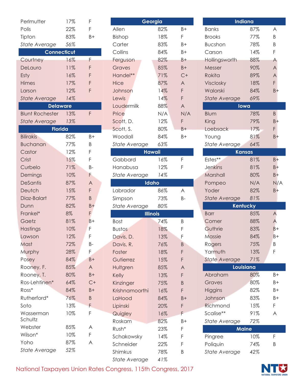| Perlmutter             | 17% | F     |                |
|------------------------|-----|-------|----------------|
| Polis                  | 22% | F     | Alle           |
| Tipton                 | 83% | B+    | <b>Bish</b>    |
| State Average          | 56% |       | Ca             |
| Connecticut            |     |       | Co             |
| Courtney               | 16% | F     | Fer            |
| DeLauro                | 11% | F     | Gro            |
| Esty                   | 16% | F     | Ha             |
| <b>Himes</b>           | 17% | F     | Hic            |
| Larson                 | 12% | F     | Joł            |
| <b>State Average</b>   | 14% |       | Ley            |
| <b>Delaware</b>        |     |       | Lou            |
| <b>Blunt Rochester</b> | 13% | F     | Pric           |
| <b>State Average</b>   | 13% |       | Sco            |
| <b>Florida</b>         |     |       | Sco            |
| <b>Bilirakis</b>       | 82% | $B+$  | Wc             |
| <b>Buchanan</b>        | 77% | Β     | Sta            |
| Castor                 | 12% | F     |                |
| Crist                  | 15% | F     | Gc             |
| Curbelo                | 71% | $B -$ | Ha             |
| Demings                | 10% | F     | Sta            |
| <b>DeSantis</b>        | 87% | A     |                |
| Deutch                 | 15% | F     | Lat            |
| Diaz-Balart            | 77% | B     | Sim            |
| Dunn                   | 82% | $B+$  | Sta            |
| Frankel*               | 8%  | F     |                |
| Gaetz                  | 81% | $B+$  | Bos            |
| Hastings               | 10% | F     | <b>B</b> US    |
| Lawson                 | 12% | F     | Da             |
| Mast                   | 72% | B-    | Da             |
| Murphy                 | 28% | F     | <b>Fos</b>     |
| Posey                  | 84% | $B+$  | Gu             |
| Rooney, F.             | 85% | A     | Hul            |
| Rooney, T.             | 80% | $B+$  | Kel            |
| Ros-Lehtinen*          | 64% | $C+$  | Kin            |
| Ross*                  | 84% | $B+$  | Kris           |
| Rutherford*            | 76% | B     | Lal            |
| Soto                   | 13% | F     | Lip            |
| Wasserman              | 10% | F     | QU             |
| Schultz                |     |       | Ro:            |
| Webster                | 85% | Α     | R <sub>U</sub> |
| Wilson*                | 10% | F     | Scl            |
| Yoho                   | 87% | A     | Scl            |
| State Average          | 52% |       | Shi            |

| Georgia         |     |                |
|-----------------|-----|----------------|
| Allen           | 82% | B+             |
| <b>Bishop</b>   | 18% | F              |
| Carter          | 83% | B+             |
| Collins         | 84% | B+             |
| Ferguson        | 82% | B+             |
| Graves          | 85% | B+             |
| Handel**        | 71% | $C+$           |
| Hice            | 87% | $\overline{A}$ |
| Johnson         | 14% | F              |
| Lewis           | 14% | F              |
| Loudermilk      | 88% | $\overline{A}$ |
| Price           | N/A | N/A            |
| Scott, D.       | 12% | F              |
| Scott, S.       | 80% | B+             |
| Woodall         | 84% | B+             |
| State Average   | 63% |                |
| <b>Hawaii</b>   |     |                |
| Gabbard         | 16% | F              |
| Hanabusa        | 12% | F              |
| State Average   | 14% |                |
| <b>Idaho</b>    |     |                |
| Labrador        | 86% | A              |
| Simpson         | 73% | B-             |
| State Average   | 80% |                |
| <b>Illinois</b> |     |                |
| <b>Bost</b>     | 74% | В              |
| <b>Bustos</b>   | 18% | F              |
| Davis, D.       | 13% | F              |
| Davis, R.       | 76% | B              |
| Foster          | 18% | F              |
| Gutierrez       | 15% | F              |
| Hultgren        | 85% | Α              |
| Kelly           | 13% | F              |
| Kinzinger       | 75% | B              |
| Krishnamoorthi  | 16% | F              |
| LaHood          | 84% | B+             |
| Lipinski        | 20% | F              |
| Quigley         | 16% | F              |
| Roskam          | 82% | B+             |
| Rush*           | 23% | F              |
| Schakowsky      | 14% | F              |
| Schneider       | 22% | F              |
| Shimkus         | 78% | Β              |
| State Average   | 41% |                |

| <b>Banks</b><br>87%<br>A             |  |
|--------------------------------------|--|
|                                      |  |
| 77%<br>Brooks<br>B                   |  |
| <b>Bucshon</b><br>78%<br>Β           |  |
| 14%<br>F<br>Carson                   |  |
| 88%<br>Hollingsworth<br>A            |  |
| 90%<br>A<br>Messer                   |  |
| $\overline{A}$<br>Rokita<br>89%      |  |
| F<br><b>Visclosky</b><br>18%         |  |
| Walorski<br>84%<br>$B+$              |  |
| 69%<br><b>State Average</b>          |  |
| lowa                                 |  |
| Blum<br>78%<br>B                     |  |
| 79%<br>King<br>$B+$                  |  |
| 17%<br>Loebsack<br>F                 |  |
| 81%<br>Young<br>$B+$                 |  |
| 64%<br>State Average                 |  |
| <u>Kansas</u>                        |  |
| Estes**<br>81%<br>$B+$               |  |
| <b>Jenkins</b><br>81%<br>B+          |  |
| Marshall<br>80%<br>$B+$              |  |
| N/A<br>N/A<br>Pompeo                 |  |
| Yoder<br>82%<br>$B+$                 |  |
|                                      |  |
| 81%<br><b>State Average</b>          |  |
| <b>Kentucky</b>                      |  |
| 85%<br>Α<br><b>Barr</b>              |  |
| A<br>88%<br>Comer                    |  |
| Guthrie<br>83%<br>$B+$               |  |
| Massie<br>84%<br>$B+$                |  |
| 75%<br>Rogers<br>Β                   |  |
| Yarmuth<br>13%<br>F                  |  |
| <b>State Average</b><br>71%          |  |
| Louisiana                            |  |
| Abraham<br>80%<br>B+<br>B+           |  |
| 80%<br>Graves<br>B+                  |  |
| 82%<br><b>Higgins</b>                |  |
| 83%<br>Johnson<br>$B+$<br>F          |  |
| 15%<br>Richmond<br>A                 |  |
| Scalise**<br>91%                     |  |
| 72%<br>State Average<br><b>Maine</b> |  |
| 10%<br>F                             |  |
| Pingree<br>Poliquin<br>74%<br>Β      |  |

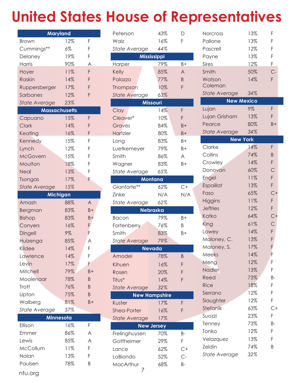# **United States House of Representatives**

|                          | <b>Maryland</b> |      |  |  |  |  |
|--------------------------|-----------------|------|--|--|--|--|
| Brown                    | 12%             | F    |  |  |  |  |
| Cummings**               | 6%              | F    |  |  |  |  |
| Delaney                  | 19%             | F    |  |  |  |  |
| <b>Harris</b>            | 90%             | Α    |  |  |  |  |
| Hoyer                    | 11%             | F    |  |  |  |  |
| Raskin                   | 14%             | F    |  |  |  |  |
| Ruppersberger            | 17%             | F    |  |  |  |  |
| Sarbanes                 | 12%             | F    |  |  |  |  |
| <b>State Average</b>     | 23%             |      |  |  |  |  |
| <b>Massachusetts</b>     |                 |      |  |  |  |  |
| Capuano                  | 15%             | F    |  |  |  |  |
| <b>Clark</b>             | 14%             | F    |  |  |  |  |
| Keating                  | 16%             | F    |  |  |  |  |
| Kennedy                  | 15%             | F    |  |  |  |  |
| Lynch                    | 12%             | F    |  |  |  |  |
| McGovern                 | 15%             | F    |  |  |  |  |
| Moulton                  | 18%             | F    |  |  |  |  |
| Neal                     | 13%             | F    |  |  |  |  |
| <b>Tsongas</b>           | 17%             | F    |  |  |  |  |
| <b>State Average</b>     | 15%             |      |  |  |  |  |
| Michigan                 |                 |      |  |  |  |  |
| Amash                    | 88%             | A    |  |  |  |  |
| Bergman                  | 83%             | B+   |  |  |  |  |
|                          |                 |      |  |  |  |  |
| <b>Bishop</b>            | 83%             | $B+$ |  |  |  |  |
| Conyers                  | 16%             | F    |  |  |  |  |
| Dingell                  | 9%              | F    |  |  |  |  |
| Huizenga                 | 85%             | Α    |  |  |  |  |
| Kildee                   | 14%             | F    |  |  |  |  |
| Lawrence                 | 14%             | F    |  |  |  |  |
| Levin                    | 17%             | F    |  |  |  |  |
| <b>Mitchell</b>          | 79%             | $B+$ |  |  |  |  |
| Moolenaar                | 78%             | B    |  |  |  |  |
| Trott                    | 76%             | B    |  |  |  |  |
| Upton                    | 75%             | B    |  |  |  |  |
|                          | 81%             | B+   |  |  |  |  |
| Walberg<br>State Average | 57%             |      |  |  |  |  |
| <b>Minnesota</b>         |                 |      |  |  |  |  |
| Ellison                  | 16%             | F    |  |  |  |  |
| Emmer                    | 86%             | A    |  |  |  |  |
| Lewis                    | 85%             | A    |  |  |  |  |
| McCollum                 | 11%             | F    |  |  |  |  |
| Nolan                    | 13%             | F    |  |  |  |  |
|                          |                 |      |  |  |  |  |

| Walz<br>16%<br>F<br>44%<br>State Average<br>Mississippi<br>79%<br>B+<br>Harper<br>85%<br>Kelly<br>A<br>77%<br>Palazzo<br>B<br>F<br>10%<br>Thompson<br>63%<br><b>State Average</b><br><b>Missouri</b><br>Clay<br>14%<br>F<br>Cleaver*<br>10%<br>F<br>84%<br>$B+$<br>Graves<br><b>Hartzler</b><br>80%<br>B+<br>83%<br>B+<br>Long<br>79%<br>Luetkemeyer<br>B+<br>Smith<br>86%<br>A<br>83%<br>B+<br>Wagner<br>65%<br>State Average<br><b>Montana</b><br>Gianforte**<br>62%<br>$C+$<br>Zinke<br>N/A<br>N/A<br>62%<br>State Average<br><b>Nebraska</b><br>B+<br>79%<br>Bacon<br>Fortenberry<br>76%<br>В<br>Smith<br>83%<br>B+<br>79%<br><b>State Average</b><br><b>Nevada</b><br>Amodei<br>78%<br>В<br>16%<br>Kihuen<br>F<br>20%<br>F<br>Rosen<br>Titus*<br>14%<br>F<br>32%<br><b>State Average</b><br><b>New Hampshire</b><br>Kuster<br>17%<br>F<br><b>Shea-Porter</b><br>16%<br>F<br><b>State Average</b><br>17%<br><b>New Jersey</b><br>B-<br>Frelinghuysen<br>70%<br>Gottheimer<br>29%<br>F<br>62%<br>$C+$<br>Lance<br>LoBiondo<br>52%<br>C-<br>MacArthur | Peterson | 43% | I) |  |  |  |  |  |
|---------------------------------------------------------------------------------------------------------------------------------------------------------------------------------------------------------------------------------------------------------------------------------------------------------------------------------------------------------------------------------------------------------------------------------------------------------------------------------------------------------------------------------------------------------------------------------------------------------------------------------------------------------------------------------------------------------------------------------------------------------------------------------------------------------------------------------------------------------------------------------------------------------------------------------------------------------------------------------------------------------------------------------------------------------|----------|-----|----|--|--|--|--|--|
|                                                                                                                                                                                                                                                                                                                                                                                                                                                                                                                                                                                                                                                                                                                                                                                                                                                                                                                                                                                                                                                         |          |     |    |  |  |  |  |  |
|                                                                                                                                                                                                                                                                                                                                                                                                                                                                                                                                                                                                                                                                                                                                                                                                                                                                                                                                                                                                                                                         |          |     |    |  |  |  |  |  |
|                                                                                                                                                                                                                                                                                                                                                                                                                                                                                                                                                                                                                                                                                                                                                                                                                                                                                                                                                                                                                                                         |          |     |    |  |  |  |  |  |
|                                                                                                                                                                                                                                                                                                                                                                                                                                                                                                                                                                                                                                                                                                                                                                                                                                                                                                                                                                                                                                                         |          |     |    |  |  |  |  |  |
|                                                                                                                                                                                                                                                                                                                                                                                                                                                                                                                                                                                                                                                                                                                                                                                                                                                                                                                                                                                                                                                         |          |     |    |  |  |  |  |  |
|                                                                                                                                                                                                                                                                                                                                                                                                                                                                                                                                                                                                                                                                                                                                                                                                                                                                                                                                                                                                                                                         |          |     |    |  |  |  |  |  |
|                                                                                                                                                                                                                                                                                                                                                                                                                                                                                                                                                                                                                                                                                                                                                                                                                                                                                                                                                                                                                                                         |          |     |    |  |  |  |  |  |
|                                                                                                                                                                                                                                                                                                                                                                                                                                                                                                                                                                                                                                                                                                                                                                                                                                                                                                                                                                                                                                                         |          |     |    |  |  |  |  |  |
|                                                                                                                                                                                                                                                                                                                                                                                                                                                                                                                                                                                                                                                                                                                                                                                                                                                                                                                                                                                                                                                         |          |     |    |  |  |  |  |  |
|                                                                                                                                                                                                                                                                                                                                                                                                                                                                                                                                                                                                                                                                                                                                                                                                                                                                                                                                                                                                                                                         |          |     |    |  |  |  |  |  |
|                                                                                                                                                                                                                                                                                                                                                                                                                                                                                                                                                                                                                                                                                                                                                                                                                                                                                                                                                                                                                                                         |          |     |    |  |  |  |  |  |
|                                                                                                                                                                                                                                                                                                                                                                                                                                                                                                                                                                                                                                                                                                                                                                                                                                                                                                                                                                                                                                                         |          |     |    |  |  |  |  |  |
|                                                                                                                                                                                                                                                                                                                                                                                                                                                                                                                                                                                                                                                                                                                                                                                                                                                                                                                                                                                                                                                         |          |     |    |  |  |  |  |  |
|                                                                                                                                                                                                                                                                                                                                                                                                                                                                                                                                                                                                                                                                                                                                                                                                                                                                                                                                                                                                                                                         |          |     |    |  |  |  |  |  |
|                                                                                                                                                                                                                                                                                                                                                                                                                                                                                                                                                                                                                                                                                                                                                                                                                                                                                                                                                                                                                                                         |          |     |    |  |  |  |  |  |
|                                                                                                                                                                                                                                                                                                                                                                                                                                                                                                                                                                                                                                                                                                                                                                                                                                                                                                                                                                                                                                                         |          |     |    |  |  |  |  |  |
|                                                                                                                                                                                                                                                                                                                                                                                                                                                                                                                                                                                                                                                                                                                                                                                                                                                                                                                                                                                                                                                         |          |     |    |  |  |  |  |  |
|                                                                                                                                                                                                                                                                                                                                                                                                                                                                                                                                                                                                                                                                                                                                                                                                                                                                                                                                                                                                                                                         |          |     |    |  |  |  |  |  |
|                                                                                                                                                                                                                                                                                                                                                                                                                                                                                                                                                                                                                                                                                                                                                                                                                                                                                                                                                                                                                                                         |          |     |    |  |  |  |  |  |
|                                                                                                                                                                                                                                                                                                                                                                                                                                                                                                                                                                                                                                                                                                                                                                                                                                                                                                                                                                                                                                                         |          |     |    |  |  |  |  |  |
|                                                                                                                                                                                                                                                                                                                                                                                                                                                                                                                                                                                                                                                                                                                                                                                                                                                                                                                                                                                                                                                         |          |     |    |  |  |  |  |  |
|                                                                                                                                                                                                                                                                                                                                                                                                                                                                                                                                                                                                                                                                                                                                                                                                                                                                                                                                                                                                                                                         |          |     |    |  |  |  |  |  |
|                                                                                                                                                                                                                                                                                                                                                                                                                                                                                                                                                                                                                                                                                                                                                                                                                                                                                                                                                                                                                                                         |          |     |    |  |  |  |  |  |
|                                                                                                                                                                                                                                                                                                                                                                                                                                                                                                                                                                                                                                                                                                                                                                                                                                                                                                                                                                                                                                                         |          |     |    |  |  |  |  |  |
|                                                                                                                                                                                                                                                                                                                                                                                                                                                                                                                                                                                                                                                                                                                                                                                                                                                                                                                                                                                                                                                         |          |     |    |  |  |  |  |  |
|                                                                                                                                                                                                                                                                                                                                                                                                                                                                                                                                                                                                                                                                                                                                                                                                                                                                                                                                                                                                                                                         |          |     |    |  |  |  |  |  |
|                                                                                                                                                                                                                                                                                                                                                                                                                                                                                                                                                                                                                                                                                                                                                                                                                                                                                                                                                                                                                                                         |          |     |    |  |  |  |  |  |
|                                                                                                                                                                                                                                                                                                                                                                                                                                                                                                                                                                                                                                                                                                                                                                                                                                                                                                                                                                                                                                                         |          |     |    |  |  |  |  |  |
|                                                                                                                                                                                                                                                                                                                                                                                                                                                                                                                                                                                                                                                                                                                                                                                                                                                                                                                                                                                                                                                         |          |     |    |  |  |  |  |  |
|                                                                                                                                                                                                                                                                                                                                                                                                                                                                                                                                                                                                                                                                                                                                                                                                                                                                                                                                                                                                                                                         |          |     |    |  |  |  |  |  |
|                                                                                                                                                                                                                                                                                                                                                                                                                                                                                                                                                                                                                                                                                                                                                                                                                                                                                                                                                                                                                                                         |          |     |    |  |  |  |  |  |
|                                                                                                                                                                                                                                                                                                                                                                                                                                                                                                                                                                                                                                                                                                                                                                                                                                                                                                                                                                                                                                                         |          |     |    |  |  |  |  |  |
|                                                                                                                                                                                                                                                                                                                                                                                                                                                                                                                                                                                                                                                                                                                                                                                                                                                                                                                                                                                                                                                         |          |     |    |  |  |  |  |  |
|                                                                                                                                                                                                                                                                                                                                                                                                                                                                                                                                                                                                                                                                                                                                                                                                                                                                                                                                                                                                                                                         |          |     |    |  |  |  |  |  |
|                                                                                                                                                                                                                                                                                                                                                                                                                                                                                                                                                                                                                                                                                                                                                                                                                                                                                                                                                                                                                                                         |          |     |    |  |  |  |  |  |
|                                                                                                                                                                                                                                                                                                                                                                                                                                                                                                                                                                                                                                                                                                                                                                                                                                                                                                                                                                                                                                                         |          |     |    |  |  |  |  |  |
|                                                                                                                                                                                                                                                                                                                                                                                                                                                                                                                                                                                                                                                                                                                                                                                                                                                                                                                                                                                                                                                         |          |     |    |  |  |  |  |  |
|                                                                                                                                                                                                                                                                                                                                                                                                                                                                                                                                                                                                                                                                                                                                                                                                                                                                                                                                                                                                                                                         |          |     |    |  |  |  |  |  |
|                                                                                                                                                                                                                                                                                                                                                                                                                                                                                                                                                                                                                                                                                                                                                                                                                                                                                                                                                                                                                                                         |          |     |    |  |  |  |  |  |
|                                                                                                                                                                                                                                                                                                                                                                                                                                                                                                                                                                                                                                                                                                                                                                                                                                                                                                                                                                                                                                                         |          |     |    |  |  |  |  |  |
|                                                                                                                                                                                                                                                                                                                                                                                                                                                                                                                                                                                                                                                                                                                                                                                                                                                                                                                                                                                                                                                         |          |     |    |  |  |  |  |  |
|                                                                                                                                                                                                                                                                                                                                                                                                                                                                                                                                                                                                                                                                                                                                                                                                                                                                                                                                                                                                                                                         |          | 68% | B- |  |  |  |  |  |

| Norcross             | 13% | F            |
|----------------------|-----|--------------|
| Pallone              | 13% | F            |
| Pascrell             | 12% | F            |
| Payne                | 13% | F            |
| <b>Sires</b>         | 12% | F            |
| Smith                | 50% | $C -$        |
| Watson               | 14% | F            |
| Coleman              |     |              |
| <b>State Average</b> | 34% |              |
| <b>New Mexico</b>    |     |              |
| Lujan                | 9%  | F            |
| Lujan Grisham        | 13% | F            |
| Pearce               | 80% | $B+$         |
| State Average        | 34% |              |
| <b>New York</b>      |     |              |
| Clarke               | 14% | F            |
| Collins              | 74% | B            |
| Crowley              | 14% | F            |
| Donovan              | 60% | $\mathsf{C}$ |
| Engel                | 11% | F            |
| Espaillat            | 13% | F            |
| Faso                 | 65% | $C+$         |
| <b>Higgins</b>       | 11% | F            |
| <b>Jeffries</b>      | 12% | F            |
| Katko                | 64% | $C+$         |
| King                 | 61% | $\mathsf{C}$ |
| Lowey                | 14% | F            |
| Maloney, C.          | 13% | F            |
| Maloney, S.          | 17% | F            |
| Meeks                | 14% | F            |
| Meng                 | 12% | F            |
| Nadler               | 13% | F            |
| Reed                 | 73% | В-           |
| <b>Rice</b>          | 18% | F            |
| Serrano              | 12% | F            |
| Slaughter            | 12% | F            |
| Stefanik             | 63% | $C+$         |
| Suozzi               | 23% | F            |
| Tenney               | 73% | B-           |
| Tonko                | 12% | F            |
| Velazquez            | 13% | F            |
| <b>Zeldin</b>        | 74% | Β            |
| State Average        | 32% |              |
|                      |     |              |

ntu.org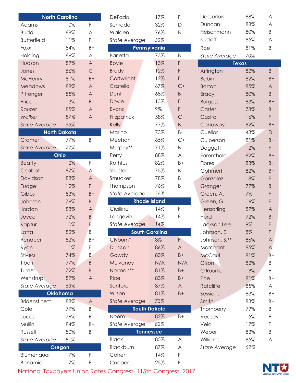| <b>North Carolina</b> |     |                | DeFazio               | 17%   | F            | DesJarlais       | 88% | A            |
|-----------------------|-----|----------------|-----------------------|-------|--------------|------------------|-----|--------------|
| Adams                 | 10% | F              | Schrader              | 32%   | $\mathsf{D}$ | Duncan           | 88% | A            |
| <b>Budd</b>           | 88% | A              | Walden                | 76%   | Β            | Fleischmann      | 80% | $B+$         |
| <b>Butterfield</b>    | 11% | F              | State Average         | 32%   |              | Kustoff          | 85% | A            |
| Foxx                  | 84% | $B+$           | Pennsylvania          |       |              | Roe              | 81% | $B+$         |
| Holding               | 86% | A              | <b>Barletta</b>       | 73%   | <b>B-</b>    | State Average    | 70% |              |
| Hudson                | 87% | $\overline{A}$ | <b>Boyle</b>          | 13%   | F            | <b>Texas</b>     |     |              |
| Jones                 | 56% | $\mathsf C$    | <b>Brady</b>          | 12%   | F            | Arrington        | 82% | $B+$         |
| <b>McHenry</b>        | 81% | $B+$           | Cartwright            | 12%   | F            | <b>Babin</b>     | 82% | $B+$         |
| Meadows               | 88% | $\overline{A}$ | Costello              | 67%   | $C+$         | <b>Barton</b>    | 85% | $\mathsf{A}$ |
| Pittenger             | 85% | $\overline{A}$ | Dent                  | 68%   | $B-$         | <b>Brady</b>     | 80% | $B+$         |
| Price                 | 13% | F              | Doyle                 | 13%   | F            | <b>Burgess</b>   | 83% | $B+$         |
| Rouzer                | 85% | $\bigwedge$    | Evans                 | $9\%$ | F            | Carter           | 78% | $\sf B$      |
| Walker                | 87% | $\overline{A}$ | Fitzpatrick           | 58%   | $\mathsf{C}$ | Castro           | 16% | F            |
| State Average         | 66% |                | <b>Kelly</b>          | 77%   | Β            | Conaway          | 82% | $B+$         |
| <b>North Dakota</b>   |     |                | Marino                | 73%   | $B -$        | Cuellar          | 43% | $\mathsf{D}$ |
| Cramer                | 77% | $\sf B$        | Meehan                | 65%   | $C+$         | Culberson        | 81% | $B+$         |
| <b>State Average</b>  | 77% |                | Murphy**              | 71%   | <b>B-</b>    | Doggett          | 12% | F            |
| Ohio                  |     |                | Perry                 | 88%   | A            | Farenthold       | 82% | $B+$         |
| <b>Beatty</b>         | 12% | F              | Rothfus               | 82%   | $B+$         | Flores           | 83% | $B+$         |
| Chabot                | 87% | $\bigwedge$    | Shuster               | 75%   | Β            | Gohmert          | 82% | $B+$         |
| Davidson              | 88% | $\overline{A}$ | Smucker               | 78%   | Β            | Gonzalez         | 18% | F            |
| Fudge                 | 12% | F              | Thompson              | 76%   | Β            | Granger          | 77% | $\sf B$      |
| Gibbs                 | 83% | $B+$           | State Average         | 56%   |              | Green, A.        | 7%  | F            |
| Johnson               | 76% | B              | <b>Rhode Island</b>   |       |              | Green, G.        | 16% | F            |
| Jordan                | 88% | A              | Cicilline             | 14%   | F            | Hensarling       | 87% | A            |
| Joyce                 | 72% | $B -$          | Langevin              | 14%   | F            | Hurd             | 72% | $B-$         |
| Kaptur                | 10% |                | State Average         | 14%   |              | Jackson Lee      | 9%  | F            |
| Latta                 | 82% | B+             | <b>South Carolina</b> |       |              | Johnson, E.      | 8%  | F            |
| Renacci               | 82% | $B+$           | Clyburn*              | 8%    | F            | Johnson, S.**    | 86% | A            |
| Ryan                  | 11% | F              | Duncan                | 86%   | $\mathsf{A}$ | Marchant         | 85% | $\forall$    |
| <b>Stivers</b>        | 74% | B              | Gowdy                 | 83%   | $B+$         | McCaul           | 81% | $B+$         |
| Tiberi                | 77% | $\sf B$        | Mulvaney              | N/A   | N/A          | Olson            | 82% | $B+$         |
| Turner                | 72% | $B -$          | Norman**              | 81%   | $B+$         | O'Rourke         | 19% | F            |
| Wenstrup              | 87% | $\overline{A}$ | <b>Rice</b>           | 83%   | $B+$         | Poe              | 81% | $B+$         |
| State Average         | 63% |                | Sanford               | 87%   | $\mathsf{A}$ | <b>Ratcliffe</b> | 85% | A            |
| <b>Oklahoma</b>       |     |                | Wilson                | 81%   | $B+$         | Sessions         | 83% | $B+$         |
| Bridenstine**         | 88% | $\overline{A}$ | State Average         | 73%   |              | Smith            | 83% | $B+$         |
| Cole                  | 77% | B              | <b>South Dakota</b>   |       |              | Thornberry       | 79% | $B+$         |
| Lucas                 | 76% | Β              | <b>Noem</b>           | 82%   | $B+$         | Veasey           | 15% | F            |
| Mullin                | 84% | $B+$           | State Average         | 82%   |              | Vela             | 17% | F            |
| Russell               | 80% | $B+$           | <b>Tennessee</b>      |       |              | Weber            | 83% | $B+$         |
| State Average         | 81% |                | <b>Black</b>          | 85%   | A            | Williams         | 85% | A            |
| Oregon                |     |                | Blackburn             | 87%   | A            | State Average    | 62% |              |
| Blumenauer            | 17% | F              | Cohen                 | 14%   | F            |                  |     |              |
| <b>Bonamici</b>       | 17% | F              | Cooper                | 25%   | F            |                  |     | Nhi          |
|                       |     |                |                       |       |              |                  |     |              |

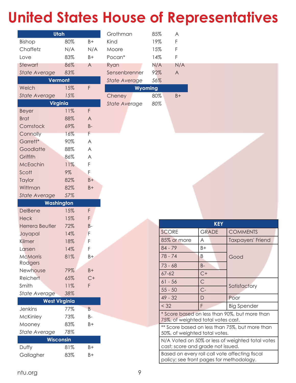# **United States House of Representatives**

| <b>Utah</b>                |       |                | Grothman             | 85%       | A                                  |              |                                                  |
|----------------------------|-------|----------------|----------------------|-----------|------------------------------------|--------------|--------------------------------------------------|
| Bishop                     | 80%   | $B+$           | Kind                 | 19%       | F                                  |              |                                                  |
| Chaffetz                   | N/A   | N/A            | Moore                | 15%       | $\mathsf F$                        |              |                                                  |
| Love                       | 83%   | $B+$           | Pocan*               | 14%       | F                                  |              |                                                  |
| Stewart                    | 86%   | A              | Ryan                 | N/A       | N/A                                |              |                                                  |
| State Average              | 83%   |                | Sensenbrenner        | 92%       | $\overline{A}$                     |              |                                                  |
| Vermont                    |       |                | <b>State Average</b> | 56%       |                                    |              |                                                  |
| Welch                      | 15%   | F              | Wyoming              |           |                                    |              |                                                  |
| State Average              | 15%   |                | Cheney               | 80%       | $B+$                               |              |                                                  |
| Virginia                   |       |                | <b>State Average</b> | 80%       |                                    |              |                                                  |
| <b>Beyer</b>               | 11%   | F              |                      |           |                                    |              |                                                  |
| <b>Brat</b>                | 88%   | $\overline{A}$ |                      |           |                                    |              |                                                  |
| Comstock                   | 69%   | $B -$          |                      |           |                                    |              |                                                  |
| Connolly                   | 16%   | F              |                      |           |                                    |              |                                                  |
| Garrett*                   | 90%   | A              |                      |           |                                    |              |                                                  |
| Goodlatte                  | 88%   | A              |                      |           |                                    |              |                                                  |
| Griffith                   | 86%   | A              |                      |           |                                    |              |                                                  |
| McEachin                   | 11%   | F              |                      |           |                                    |              |                                                  |
| Scott                      | $9\%$ | F              |                      |           |                                    |              |                                                  |
| Taylor                     | 82%   | $B+$           |                      |           |                                    |              |                                                  |
| Wittman                    | 82%   | $B+$           |                      |           |                                    |              |                                                  |
| State Average              | 57%   |                |                      |           |                                    |              |                                                  |
| Washington                 |       |                |                      |           |                                    |              |                                                  |
| DelBene                    | 15%   | F              |                      |           |                                    |              |                                                  |
| <b>Heck</b>                | 15%   | F              |                      |           |                                    | <b>KEY</b>   |                                                  |
| <b>Herrera Beutler</b>     | 72%   | $B -$          |                      |           | <b>SCORE</b>                       | <b>GRADE</b> | <b>COMMENTS</b>                                  |
| Jayapal                    | 14%   | F              |                      |           | 85% or more                        | $\forall$    | <b>Taxpayers' Friend</b>                         |
| Kilmer                     | 18%   | F              |                      |           | $84 - 79$                          | $B+$         |                                                  |
| Larsen                     | 14%   | F              |                      |           |                                    |              |                                                  |
| <b>McMorris</b><br>Rodgers | 81%   | $B+$           |                      |           | $78 - 74$                          | B            | Good                                             |
| Newhouse                   | 79%   | $B+$           |                      |           | $73 - 68$                          | $B -$        |                                                  |
| <b>Reichert</b>            | 65%   | $C+$           |                      | $67 - 62$ |                                    | $C+$         |                                                  |
| Smith                      | 11%   | F              |                      |           | $61 - 56$                          | $\mathsf C$  | Satisfactory                                     |
| State Average              | 38%   |                |                      |           | $55 - 50$                          | $C-$         |                                                  |
| <b>West Virginia</b>       |       |                |                      |           | $49 - 32$                          | $\mathsf D$  | Poor                                             |
| <b>Jenkins</b>             | 77%   | $\overline{B}$ |                      | < 32      |                                    | F            | <b>Big Spender</b>                               |
| <b>McKinley</b>            | 73%   | <b>B-</b>      |                      |           |                                    |              | * Score based on less than 90%, but more than    |
| Mooney                     | 83%   | $B+$           |                      |           | 75%, of weighted total votes cast. |              |                                                  |
| State Average              | 78%   |                |                      |           | 50%, of weighted total votes.      |              | ** Score based on less than 75%, but more than   |
| <b>Wisconsin</b>           |       |                |                      |           |                                    |              | N/A Voted on 50% or less of weighted total votes |
| Duffy                      | 81%   | $B+$           |                      |           | cast; score and grade not issued.  |              |                                                  |
| Gallagher                  | 83%   | $B+$           |                      |           |                                    |              | Based on every roll call vote affecting fiscal   |
|                            |       |                |                      |           |                                    |              | policy; see front pages for methodology.         |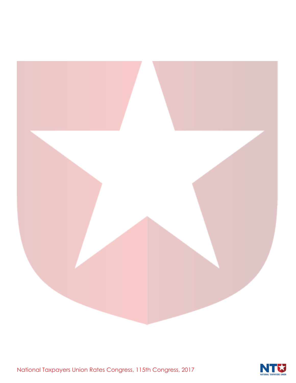